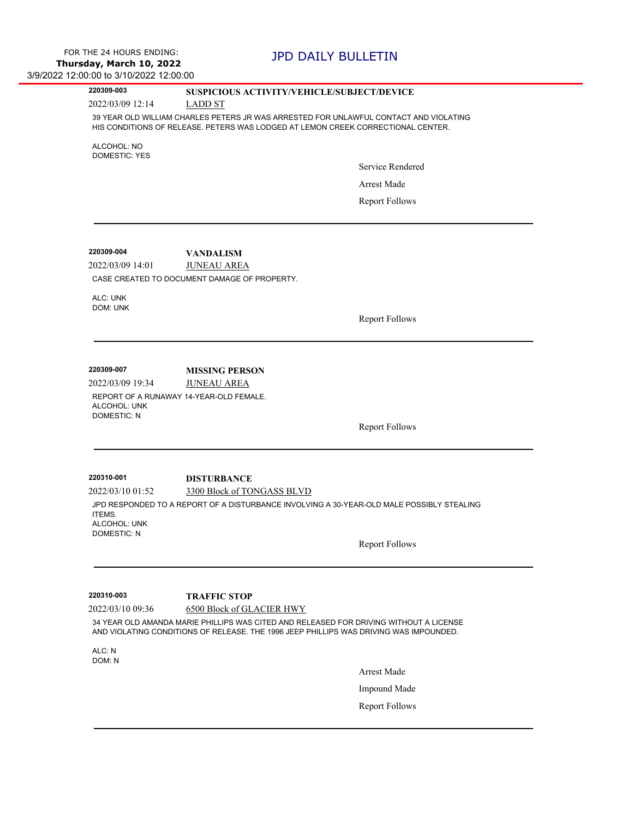| 220309-003 |  |
|------------|--|
|------------|--|

### **220309-003 SUSPICIOUS ACTIVITY/VEHICLE/SUBJECT/DEVICE**

2022/03/09 12:14 LADD ST

39 YEAR OLD WILLIAM CHARLES PETERS JR WAS ARRESTED FOR UNLAWFUL CONTACT AND VIOLATING HIS CONDITIONS OF RELEASE. PETERS WAS LODGED AT LEMON CREEK CORRECTIONAL CENTER.

ALCOHOL: NO DOMESTIC: YES

Service Rendered

Arrest Made

Report Follows

2022/03/09 14:01 JUNEAU AREA **220309-004 VANDALISM** CASE CREATED TO DOCUMENT DAMAGE OF PROPERTY.

ALC: UNK DOM: UNK

Report Follows

**220309-007 MISSING PERSON**

2022/03/09 19:34 JUNEAU AREA REPORT OF A RUNAWAY 14-YEAR-OLD FEMALE. ALCOHOL: UNK DOMESTIC: N

Report Follows

2022/03/10 01:52 3300 Block of TONGASS BLVD **220310-001 DISTURBANCE** JPD RESPONDED TO A REPORT OF A DISTURBANCE INVOLVING A 30-YEAR-OLD MALE POSSIBLY STEALING ITEMS. ALCOHOL: UNK DOMESTIC: N

Report Follows

**220310-003 TRAFFIC STOP**

2022/03/10 09:36 6500 Block of GLACIER HWY

34 YEAR OLD AMANDA MARIE PHILLIPS WAS CITED AND RELEASED FOR DRIVING WITHOUT A LICENSE AND VIOLATING CONDITIONS OF RELEASE. THE 1996 JEEP PHILLIPS WAS DRIVING WAS IMPOUNDED.

ALC:  $N$ DOM: N

Arrest Made

Impound Made

Report Follows